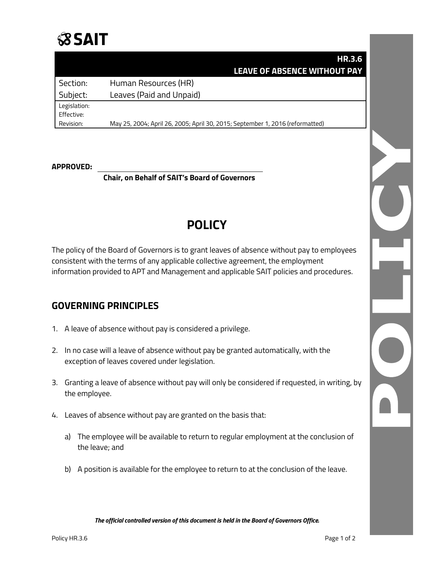

## **HR.3.6 LEAVE OF ABSENCE WITHOUT PAY**

Section: Human Resources (HR) Subject: Leaves (Paid and Unpaid) Legislation: Effective:

Revision: May 25, 2004; April 26, 2005; April 30, 2015; September 1, 2016 (reformatted)

#### **APPROVED:**

**Chair, on Behalf of SAIT's Board of Governors**

# **POLICY**

The policy of the Board of Governors is to grant leaves of absence without pay to employees consistent with the terms of any applicable collective agreement, the employment information provided to APT and Management and applicable SAIT policies and procedures.

### **GOVERNING PRINCIPLES**

- 1. A leave of absence without pay is considered a privilege.
- 2. In no case will a leave of absence without pay be granted automatically, with the exception of leaves covered under legislation.
- 3. Granting a leave of absence without pay will only be considered if requested, in writing, by the employee.
- 4. Leaves of absence without pay are granted on the basis that:
	- a) The employee will be available to return to regular employment at the conclusion of the leave; and
	- b) A position is available for the employee to return to at the conclusion of the leave.

*The official controlled version of this document is held in the Board of Governors Office.*